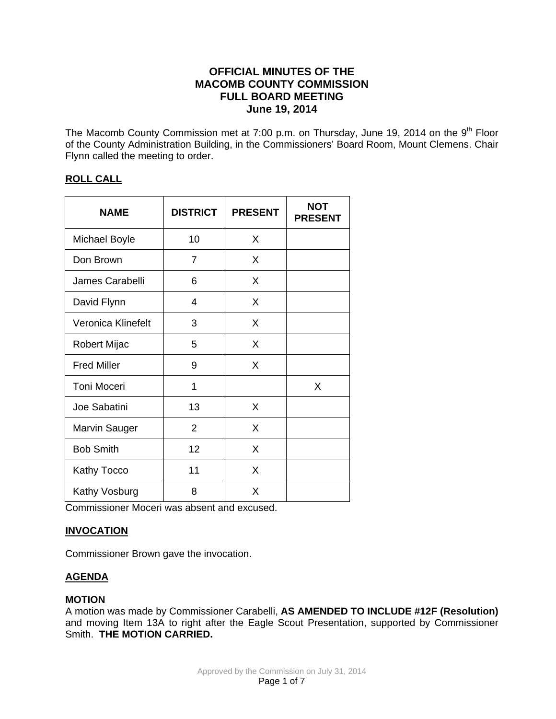# **OFFICIAL MINUTES OF THE MACOMB COUNTY COMMISSION FULL BOARD MEETING June 19, 2014**

The Macomb County Commission met at 7:00 p.m. on Thursday, June 19, 2014 on the 9<sup>th</sup> Floor of the County Administration Building, in the Commissioners' Board Room, Mount Clemens. Chair Flynn called the meeting to order.

# **ROLL CALL**

| <b>NAME</b>          | <b>DISTRICT</b> | <b>PRESENT</b> | <b>NOT</b><br><b>PRESENT</b> |
|----------------------|-----------------|----------------|------------------------------|
| <b>Michael Boyle</b> | 10              | X              |                              |
| Don Brown            | 7               | X              |                              |
| James Carabelli      | 6               | X              |                              |
| David Flynn          | 4               | X              |                              |
| Veronica Klinefelt   | 3               | X              |                              |
| Robert Mijac         | 5               | X              |                              |
| <b>Fred Miller</b>   | 9               | X              |                              |
| <b>Toni Moceri</b>   | 1               |                | X                            |
| Joe Sabatini         | 13              | X              |                              |
| <b>Marvin Sauger</b> | 2               | X              |                              |
| <b>Bob Smith</b>     | 12              | X              |                              |
| Kathy Tocco          | 11              | X              |                              |
| Kathy Vosburg        | 8               | X              |                              |

Commissioner Moceri was absent and excused.

# **INVOCATION**

Commissioner Brown gave the invocation.

# **AGENDA**

# **MOTION**

A motion was made by Commissioner Carabelli, **AS AMENDED TO INCLUDE #12F (Resolution)**  and moving Item 13A to right after the Eagle Scout Presentation, supported by Commissioner Smith. **THE MOTION CARRIED.**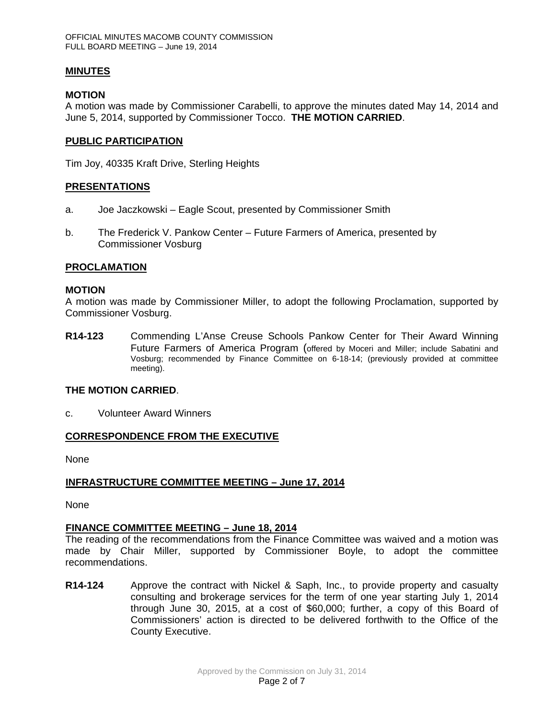## **MINUTES**

### **MOTION**

A motion was made by Commissioner Carabelli, to approve the minutes dated May 14, 2014 and June 5, 2014, supported by Commissioner Tocco. **THE MOTION CARRIED**.

## **PUBLIC PARTICIPATION**

Tim Joy, 40335 Kraft Drive, Sterling Heights

## **PRESENTATIONS**

- a. Joe Jaczkowski Eagle Scout, presented by Commissioner Smith
- b. The Frederick V. Pankow Center Future Farmers of America, presented by Commissioner Vosburg

#### **PROCLAMATION**

#### **MOTION**

A motion was made by Commissioner Miller, to adopt the following Proclamation, supported by Commissioner Vosburg.

**R14-123** Commending L'Anse Creuse Schools Pankow Center for Their Award Winning Future Farmers of America Program (offered by Moceri and Miller; include Sabatini and Vosburg; recommended by Finance Committee on 6-18-14; (previously provided at committee meeting).

#### **THE MOTION CARRIED**.

c. Volunteer Award Winners

# **CORRESPONDENCE FROM THE EXECUTIVE**

None

# **INFRASTRUCTURE COMMITTEE MEETING – June 17, 2014**

None

# **FINANCE COMMITTEE MEETING – June 18, 2014**

The reading of the recommendations from the Finance Committee was waived and a motion was made by Chair Miller, supported by Commissioner Boyle, to adopt the committee recommendations.

**R14-124** Approve the contract with Nickel & Saph, Inc., to provide property and casualty consulting and brokerage services for the term of one year starting July 1, 2014 through June 30, 2015, at a cost of \$60,000; further, a copy of this Board of Commissioners' action is directed to be delivered forthwith to the Office of the County Executive.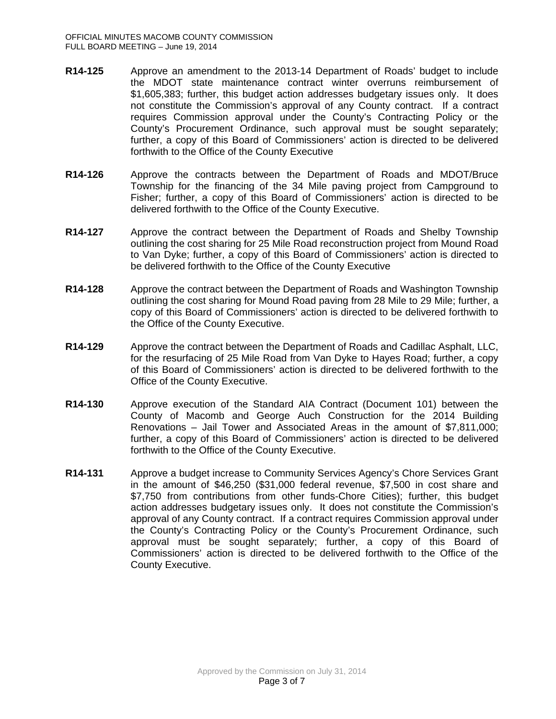- **R14-125** Approve an amendment to the 2013-14 Department of Roads' budget to include the MDOT state maintenance contract winter overruns reimbursement of \$1,605,383; further, this budget action addresses budgetary issues only. It does not constitute the Commission's approval of any County contract. If a contract requires Commission approval under the County's Contracting Policy or the County's Procurement Ordinance, such approval must be sought separately; further, a copy of this Board of Commissioners' action is directed to be delivered forthwith to the Office of the County Executive
- **R14-126** Approve the contracts between the Department of Roads and MDOT/Bruce Township for the financing of the 34 Mile paving project from Campground to Fisher; further, a copy of this Board of Commissioners' action is directed to be delivered forthwith to the Office of the County Executive.
- **R14-127** Approve the contract between the Department of Roads and Shelby Township outlining the cost sharing for 25 Mile Road reconstruction project from Mound Road to Van Dyke; further, a copy of this Board of Commissioners' action is directed to be delivered forthwith to the Office of the County Executive
- **R14-128** Approve the contract between the Department of Roads and Washington Township outlining the cost sharing for Mound Road paving from 28 Mile to 29 Mile; further, a copy of this Board of Commissioners' action is directed to be delivered forthwith to the Office of the County Executive.
- **R14-129** Approve the contract between the Department of Roads and Cadillac Asphalt, LLC, for the resurfacing of 25 Mile Road from Van Dyke to Hayes Road; further, a copy of this Board of Commissioners' action is directed to be delivered forthwith to the Office of the County Executive.
- **R14-130** Approve execution of the Standard AIA Contract (Document 101) between the County of Macomb and George Auch Construction for the 2014 Building Renovations – Jail Tower and Associated Areas in the amount of \$7,811,000; further, a copy of this Board of Commissioners' action is directed to be delivered forthwith to the Office of the County Executive.
- **R14-131** Approve a budget increase to Community Services Agency's Chore Services Grant in the amount of \$46,250 (\$31,000 federal revenue, \$7,500 in cost share and \$7,750 from contributions from other funds-Chore Cities); further, this budget action addresses budgetary issues only. It does not constitute the Commission's approval of any County contract. If a contract requires Commission approval under the County's Contracting Policy or the County's Procurement Ordinance, such approval must be sought separately; further, a copy of this Board of Commissioners' action is directed to be delivered forthwith to the Office of the County Executive.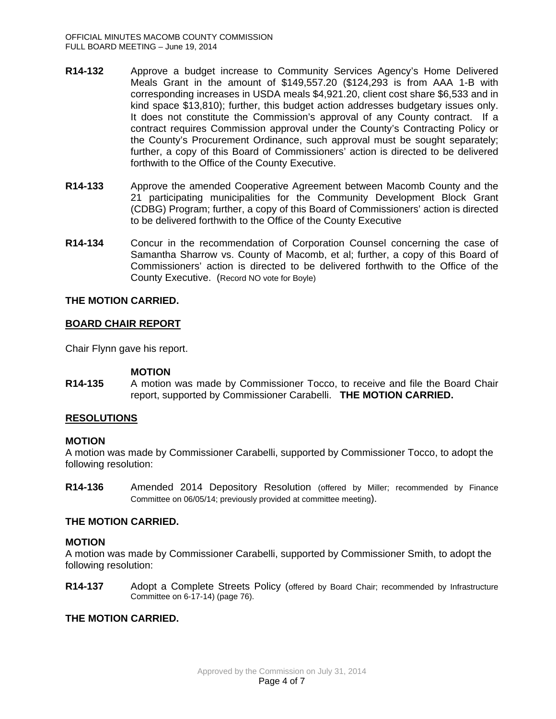- **R14-132** Approve a budget increase to Community Services Agency's Home Delivered Meals Grant in the amount of \$149,557.20 (\$124,293 is from AAA 1-B with corresponding increases in USDA meals \$4,921.20, client cost share \$6,533 and in kind space \$13,810); further, this budget action addresses budgetary issues only. It does not constitute the Commission's approval of any County contract. If a contract requires Commission approval under the County's Contracting Policy or the County's Procurement Ordinance, such approval must be sought separately; further, a copy of this Board of Commissioners' action is directed to be delivered forthwith to the Office of the County Executive.
- **R14-133** Approve the amended Cooperative Agreement between Macomb County and the 21 participating municipalities for the Community Development Block Grant (CDBG) Program; further, a copy of this Board of Commissioners' action is directed to be delivered forthwith to the Office of the County Executive
- **R14-134** Concur in the recommendation of Corporation Counsel concerning the case of Samantha Sharrow vs. County of Macomb, et al; further, a copy of this Board of Commissioners' action is directed to be delivered forthwith to the Office of the County Executive. (Record NO vote for Boyle)

## **THE MOTION CARRIED.**

## **BOARD CHAIR REPORT**

Chair Flynn gave his report.

#### **MOTION**

**R14-135** A motion was made by Commissioner Tocco, to receive and file the Board Chair report, supported by Commissioner Carabelli. **THE MOTION CARRIED.**

#### **RESOLUTIONS**

#### **MOTION**

A motion was made by Commissioner Carabelli, supported by Commissioner Tocco, to adopt the following resolution:

**R14-136** Amended 2014 Depository Resolution (offered by Miller; recommended by Finance Committee on 06/05/14; previously provided at committee meeting).

# **THE MOTION CARRIED.**

#### **MOTION**

A motion was made by Commissioner Carabelli, supported by Commissioner Smith, to adopt the following resolution:

**R14-137** Adopt a Complete Streets Policy (offered by Board Chair; recommended by Infrastructure Committee on 6-17-14) (page 76).

### **THE MOTION CARRIED.**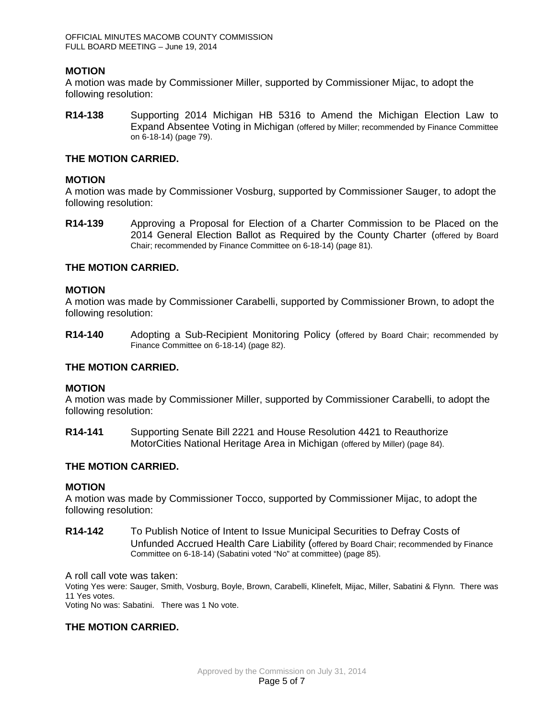#### **MOTION**

A motion was made by Commissioner Miller, supported by Commissioner Mijac, to adopt the following resolution:

**R14-138** Supporting 2014 Michigan HB 5316 to Amend the Michigan Election Law to Expand Absentee Voting in Michigan (offered by Miller; recommended by Finance Committee on 6-18-14) (page 79).

#### **THE MOTION CARRIED.**

## **MOTION**

A motion was made by Commissioner Vosburg, supported by Commissioner Sauger, to adopt the following resolution:

**R14-139** Approving a Proposal for Election of a Charter Commission to be Placed on the 2014 General Election Ballot as Required by the County Charter (offered by Board Chair; recommended by Finance Committee on 6-18-14) (page 81).

## **THE MOTION CARRIED.**

#### **MOTION**

A motion was made by Commissioner Carabelli, supported by Commissioner Brown, to adopt the following resolution:

**R14-140** Adopting a Sub-Recipient Monitoring Policy (offered by Board Chair; recommended by Finance Committee on 6-18-14) (page 82).

#### **THE MOTION CARRIED.**

#### **MOTION**

A motion was made by Commissioner Miller, supported by Commissioner Carabelli, to adopt the following resolution:

**R14-141** Supporting Senate Bill 2221 and House Resolution 4421 to Reauthorize MotorCities National Heritage Area in Michigan (offered by Miller) (page 84).

# **THE MOTION CARRIED.**

#### **MOTION**

A motion was made by Commissioner Tocco, supported by Commissioner Mijac, to adopt the following resolution:

**R14-142** To Publish Notice of Intent to Issue Municipal Securities to Defray Costs of Unfunded Accrued Health Care Liability (offered by Board Chair; recommended by Finance Committee on 6-18-14) (Sabatini voted "No" at committee) (page 85).

A roll call vote was taken:

Voting Yes were: Sauger, Smith, Vosburg, Boyle, Brown, Carabelli, Klinefelt, Mijac, Miller, Sabatini & Flynn. There was 11 Yes votes.

Voting No was: Sabatini. There was 1 No vote.

# **THE MOTION CARRIED.**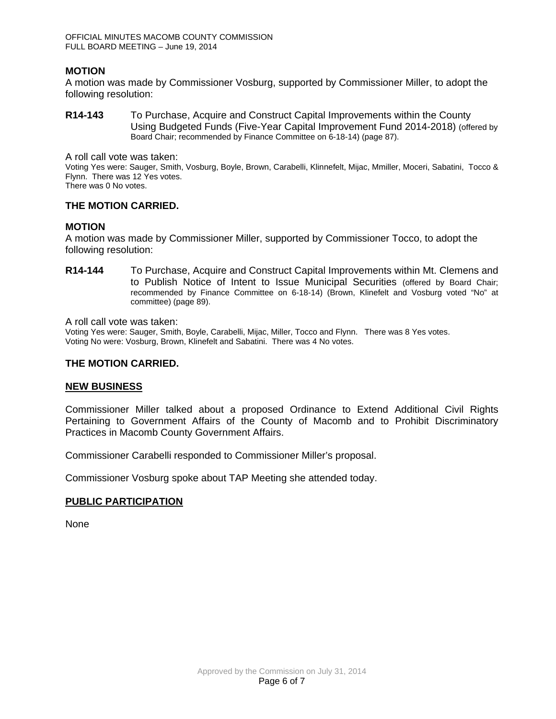### **MOTION**

A motion was made by Commissioner Vosburg, supported by Commissioner Miller, to adopt the following resolution:

**R14-143** To Purchase, Acquire and Construct Capital Improvements within the County Using Budgeted Funds (Five-Year Capital Improvement Fund 2014-2018) (offered by Board Chair; recommended by Finance Committee on 6-18-14) (page 87).

A roll call vote was taken:

Voting Yes were: Sauger, Smith, Vosburg, Boyle, Brown, Carabelli, Klinnefelt, Mijac, Mmiller, Moceri, Sabatini, Tocco & Flynn. There was 12 Yes votes.

There was 0 No votes.

## **THE MOTION CARRIED.**

#### **MOTION**

A motion was made by Commissioner Miller, supported by Commissioner Tocco, to adopt the following resolution:

**R14-144** To Purchase, Acquire and Construct Capital Improvements within Mt. Clemens and to Publish Notice of Intent to Issue Municipal Securities (offered by Board Chair; recommended by Finance Committee on 6-18-14) (Brown, Klinefelt and Vosburg voted "No" at committee) (page 89).

A roll call vote was taken:

Voting Yes were: Sauger, Smith, Boyle, Carabelli, Mijac, Miller, Tocco and Flynn. There was 8 Yes votes. Voting No were: Vosburg, Brown, Klinefelt and Sabatini. There was 4 No votes.

#### **THE MOTION CARRIED.**

#### **NEW BUSINESS**

Commissioner Miller talked about a proposed Ordinance to Extend Additional Civil Rights Pertaining to Government Affairs of the County of Macomb and to Prohibit Discriminatory Practices in Macomb County Government Affairs.

Commissioner Carabelli responded to Commissioner Miller's proposal.

Commissioner Vosburg spoke about TAP Meeting she attended today.

#### **PUBLIC PARTICIPATION**

None